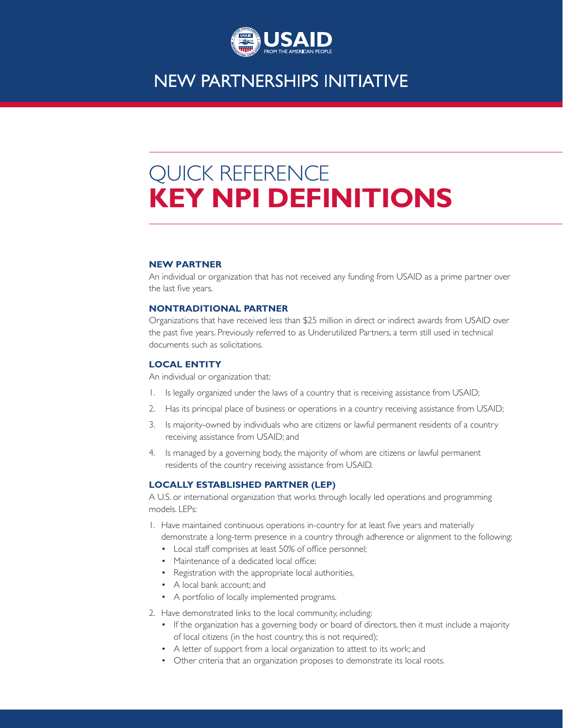

### **NEW PARTNERSHIPS INITIATIVE**

# QUICK REFERENCE **KEY NPI DEFINITIONS**

#### **NEW PARTNER**

An individual or organization that has not received any funding from USAID as a prime partner over the last five years.

#### **NONTRADITIONAL PARTNER**

Organizations that have received less than \$25 million in direct or indirect awards from USAID over the past five years. Previously referred to as Underutilized Partners, a term still used in technical documents such as solicitations.

#### **LOCAL ENTITY**

An individual or organization that:

- 1. Is legally organized under the laws of a country that is receiving assistance from USAID;
- 2. Has its principal place of business or operations in a country receiving assistance from USAID;
- 3. Is majority-owned by individuals who are citizens or lawful permanent residents of a country receiving assistance from USAID; and
- 4. Is managed by a governing body, the majority of whom are citizens or lawful permanent residents of the country receiving assistance from USAID.

#### **LOCALLY ESTABLISHED PARTNER (LEP)**

A U.S. or international organization that works through locally led operations and programming models. LEPs:

1. Have maintained continuous operations in-country for at least five years and materially

demonstrate a long-term presence in a country through adherence or alignment to the following:

- Local staff comprises at least 50% of office personnel;
- Maintenance of a dedicated local office;
- Registration with the appropriate local authorities,
- A local bank account; and
- A portfolio of locally implemented programs.
- 2. Have demonstrated links to the local community, including:
	- If the organization has a governing body or board of directors, then it must include a majority of local citizens (in the host country, this is not required);
	- A letter of support from a local organization to attest to its work; and
	- Other criteria that an organization proposes to demonstrate its local roots.